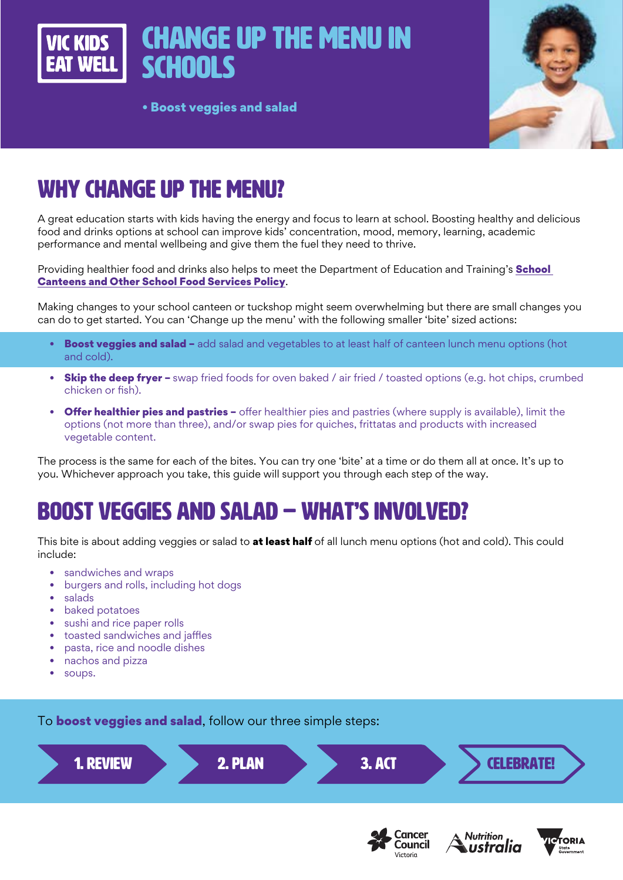



• Boost veggies and salad

# WHY CHANGE UP THE MENU?

A great education starts with kids having the energy and focus to learn at school. Boosting healthy and delicious food and drinks options at school can improve kids' concentration, mood, memory, learning, academic performance and mental wellbeing and give them the fuel they need to thrive.

Providing healthier food and drinks also helps to meet the Department of Education and Training's **School** [Canteens and Other School Food Services Policy](https://www2.education.vic.gov.au/pal/canteens-and-healthy-eating/policy).

Making changes to your school canteen or tuckshop might seem overwhelming but there are small changes you can do to get started. You can 'Change up the menu' with the following smaller 'bite' sized actions:

- Boost veggies and salad add salad and vegetables to at least half of canteen lunch menu options (hot and cold).
- Skip the deep fryer swap fried foods for oven baked / air fried / toasted options (e.g. hot chips, crumbed chicken or fish).
- **Offer healthier pies and pastries -** offer healthier pies and pastries (where supply is available), limit the options (not more than three), and/or swap pies for quiches, frittatas and products with increased vegetable content.

The process is the same for each of the bites. You can try one 'bite' at a time or do them all at once. It's up to you. Whichever approach you take, this guide will support you through each step of the way.

## BOOST VEGGIES AND SALAD – WHAT'S INVOLVED?

This bite is about adding veggies or salad to at least half of all lunch menu options (hot and cold). This could include:

- sandwiches and wraps
- burgers and rolls, including hot dogs
- salads
- baked potatoes
- sushi and rice paper rolls
- toasted sandwiches and jaffles
- pasta, rice and noodle dishes
- nachos and pizza
- soups.

To **boost veggies and salad**, follow our three simple steps:



Victoria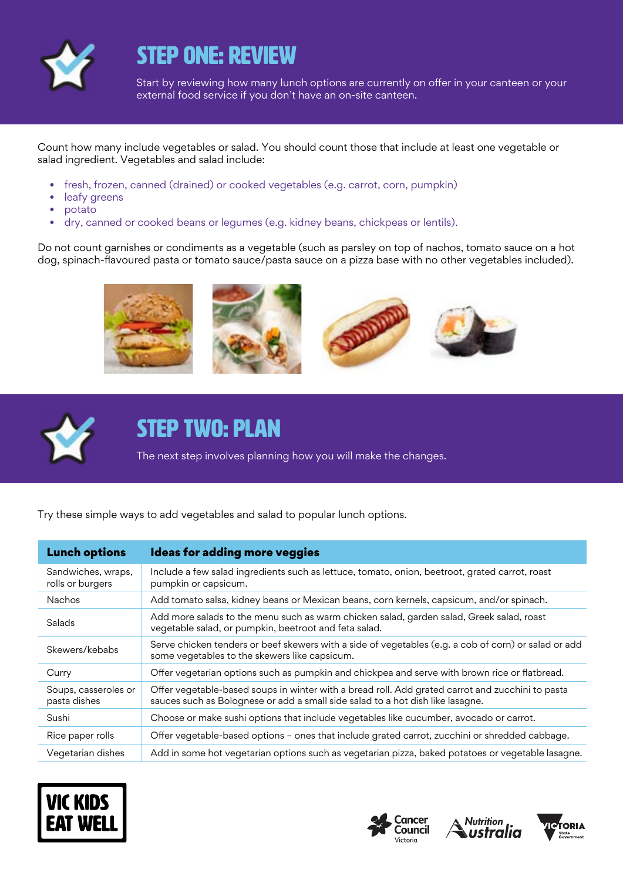

### STEP ONE: REVIEW

Start by reviewing how many lunch options are currently on offer in your canteen or your external food service if you don't have an on-site canteen.

Count how many include vegetables or salad. You should count those that include at least one vegetable or salad ingredient. Vegetables and salad include:

- fresh, frozen, canned (drained) or cooked vegetables (e.g. carrot, corn, pumpkin)
- leafy greens
- potato
- dry, canned or cooked beans or legumes (e.g. kidney beans, chickpeas or lentils).

Do not count garnishes or condiments as a vegetable (such as parsley on top of nachos, tomato sauce on a hot dog, spinach-flavoured pasta or tomato sauce/pasta sauce on a pizza base with no other vegetables included).





#### STEP TWO: PLAN

The next step involves planning how you will make the changes.

Try these simple ways to add vegetables and salad to popular lunch options.

| <b>Lunch options</b>                   | <b>Ideas for adding more veggies</b>                                                                                                                                               |
|----------------------------------------|------------------------------------------------------------------------------------------------------------------------------------------------------------------------------------|
| Sandwiches, wraps,<br>rolls or burgers | Include a few salad ingredients such as lettuce, tomato, onion, beetroot, grated carrot, roast<br>pumpkin or capsicum.                                                             |
| <b>Nachos</b>                          | Add tomato salsa, kidney beans or Mexican beans, corn kernels, capsicum, and/or spinach.                                                                                           |
| Salads                                 | Add more salads to the menu such as warm chicken salad, garden salad, Greek salad, roast<br>vegetable salad, or pumpkin, beetroot and feta salad.                                  |
| Skewers/kebabs                         | Serve chicken tenders or beef skewers with a side of vegetables (e.g. a cob of corn) or salad or add<br>some vegetables to the skewers like capsicum.                              |
| Curry                                  | Offer vegetarian options such as pumpkin and chickpea and serve with brown rice or flatbread.                                                                                      |
| Soups, casseroles or<br>pasta dishes   | Offer vegetable-based soups in winter with a bread roll. Add grated carrot and zucchini to pasta<br>sauces such as Bolognese or add a small side salad to a hot dish like lasagne. |
| Sushi                                  | Choose or make sushi options that include vegetables like cucumber, avocado or carrot.                                                                                             |
| Rice paper rolls                       | Offer vegetable-based options - ones that include grated carrot, zucchini or shredded cabbage.                                                                                     |
| Vegetarian dishes                      | Add in some hot vegetarian options such as vegetarian pizza, baked potatoes or vegetable lasagne.                                                                                  |







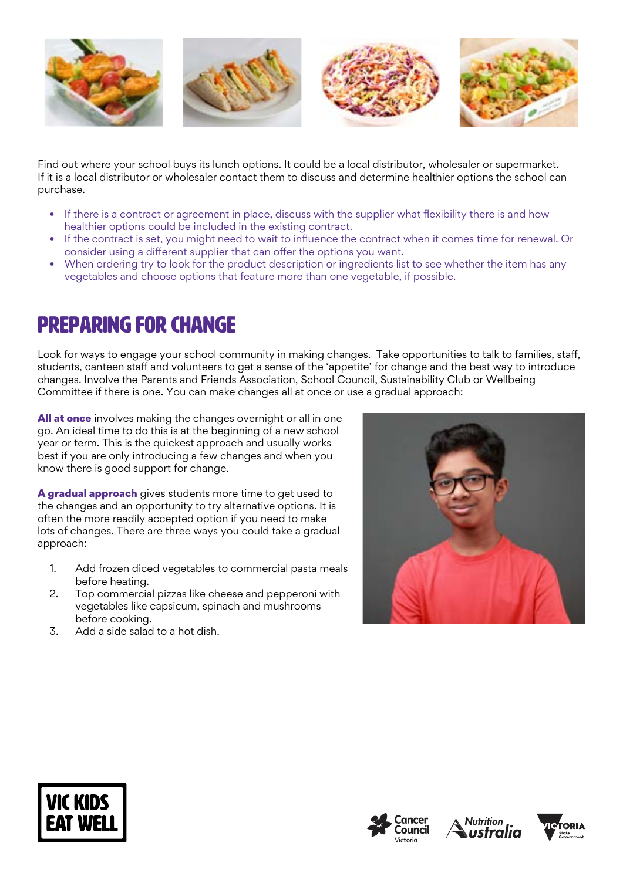

Find out where your school buys its lunch options. It could be a local distributor, wholesaler or supermarket. If it is a local distributor or wholesaler contact them to discuss and determine healthier options the school can purchase.

- If there is a contract or agreement in place, discuss with the supplier what flexibility there is and how healthier options could be included in the existing contract.
- If the contract is set, you might need to wait to influence the contract when it comes time for renewal. Or consider using a different supplier that can offer the options you want.
- When ordering try to look for the product description or ingredients list to see whether the item has any vegetables and choose options that feature more than one vegetable, if possible.

### Preparing for change

Look for ways to engage your school community in making changes. Take opportunities to talk to families, staff, students, canteen staff and volunteers to get a sense of the 'appetite' for change and the best way to introduce changes. Involve the Parents and Friends Association, School Council, Sustainability Club or Wellbeing Committee if there is one. You can make changes all at once or use a gradual approach:

All at once involves making the changes overnight or all in one go. An ideal time to do this is at the beginning of a new school year or term. This is the quickest approach and usually works best if you are only introducing a few changes and when you know there is good support for change.

A gradual approach gives students more time to get used to the changes and an opportunity to try alternative options. It is often the more readily accepted option if you need to make lots of changes. There are three ways you could take a gradual approach:

- 1. Add frozen diced vegetables to commercial pasta meals before heating.
- 2. Top commercial pizzas like cheese and pepperoni with vegetables like capsicum, spinach and mushrooms before cooking.
- 3. Add a side salad to a hot dish.









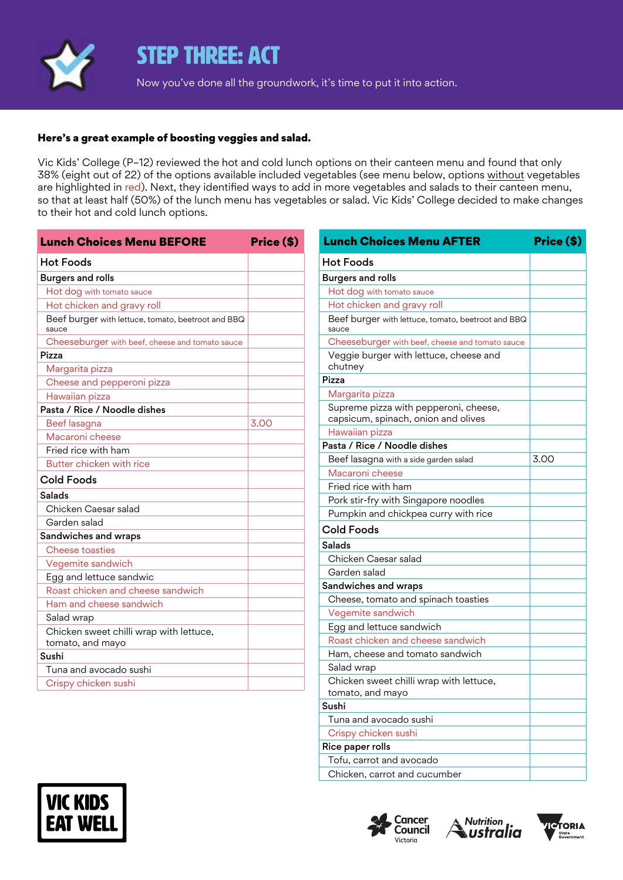

#### STEP THREE: ACT

Now you've done all the groundwork, it's time to put it into action.

#### Here's a great example of boosting veggies and salad.

Vic Kids' College (P–12) reviewed the hot and cold lunch options on their canteen menu and found that only 38% (eight out of 22) of the options available included vegetables (see menu below, options without vegetables are highlighted in red). Next, they identified ways to add in more vegetables and salads to their canteen menu, so that at least half (50%) of the lunch menu has vegetables or salad. Vic Kids' College decided to make changes to their hot and cold lunch options.

| <b>Lunch Choices Menu BEFORE</b>                            | Price (\$) |  |
|-------------------------------------------------------------|------------|--|
| <b>Hot Foods</b>                                            |            |  |
| <b>Burgers and rolls</b>                                    |            |  |
| Hot dog with tomato sauce                                   |            |  |
| Hot chicken and gravy roll                                  |            |  |
| Beef burger with lettuce, tomato, beetroot and BBQ<br>sauce |            |  |
| Cheeseburger with beef, cheese and tomato sauce             |            |  |
| Pizza                                                       |            |  |
| Margarita pizza                                             |            |  |
| Cheese and pepperoni pizza                                  |            |  |
| Hawaiian pizza                                              |            |  |
| Pasta / Rice / Noodle dishes                                |            |  |
| Beef lasagna                                                | 3.00       |  |
| Macaroni cheese                                             |            |  |
| Fried rice with ham                                         |            |  |
| Butter chicken with rice                                    |            |  |
| Cold Foods                                                  |            |  |
| <b>Salads</b>                                               |            |  |
| Chicken Caesar salad                                        |            |  |
| Garden salad                                                |            |  |
| Sandwiches and wraps                                        |            |  |
| Cheese toasties                                             |            |  |
| Vegemite sandwich                                           |            |  |
| Egg and lettuce sandwic                                     |            |  |
| Roast chicken and cheese sandwich                           |            |  |
| Ham and cheese sandwich                                     |            |  |
| Salad wrap                                                  |            |  |
| Chicken sweet chilli wrap with lettuce,<br>tomato, and mayo |            |  |
| Sushi                                                       |            |  |
| Tuna and avocado sushi                                      |            |  |
| Crispy chicken sushi                                        |            |  |

| <b>Lunch Choices Menu AFTER</b>                                              | Price (\$) |  |
|------------------------------------------------------------------------------|------------|--|
| <b>Hot Foods</b>                                                             |            |  |
| <b>Burgers and rolls</b>                                                     |            |  |
| Hot dog with tomato sauce                                                    |            |  |
| Hot chicken and gravy roll                                                   |            |  |
| Beef burger with lettuce, tomato, beetroot and BBQ<br>sauce                  |            |  |
| Cheeseburger with beef, cheese and tomato sauce                              |            |  |
| Veggie burger with lettuce, cheese and<br>chutney                            |            |  |
| Pizza                                                                        |            |  |
| Margarita pizza                                                              |            |  |
| Supreme pizza with pepperoni, cheese,<br>capsicum, spinach, onion and olives |            |  |
| Hawaiian pizza                                                               |            |  |
| Pasta / Rice / Noodle dishes                                                 |            |  |
| Beef lasagna with a side garden salad                                        | 3.00       |  |
| Macaroni cheese                                                              |            |  |
| Fried rice with ham                                                          |            |  |
| Pork stir-fry with Singapore noodles                                         |            |  |
| Pumpkin and chickpea curry with rice                                         |            |  |
| <b>Cold Foods</b>                                                            |            |  |
| Salads                                                                       |            |  |
| Chicken Caesar salad                                                         |            |  |
| Garden salad                                                                 |            |  |
| Sandwiches and wraps                                                         |            |  |
| Cheese, tomato and spinach toasties                                          |            |  |
| Vegemite sandwich                                                            |            |  |
| Egg and lettuce sandwich                                                     |            |  |
| Roast chicken and cheese sandwich                                            |            |  |
| Ham, cheese and tomato sandwich                                              |            |  |
| Salad wrap                                                                   |            |  |
| Chicken sweet chilli wrap with lettuce,<br>tomato, and mayo                  |            |  |
| Sushi                                                                        |            |  |
| Tuna and avocado sushi                                                       |            |  |
| Crispy chicken sushi                                                         |            |  |
| Rice paper rolls                                                             |            |  |
| Tofu, carrot and avocado                                                     |            |  |
| Chicken, carrot and cucumber                                                 |            |  |







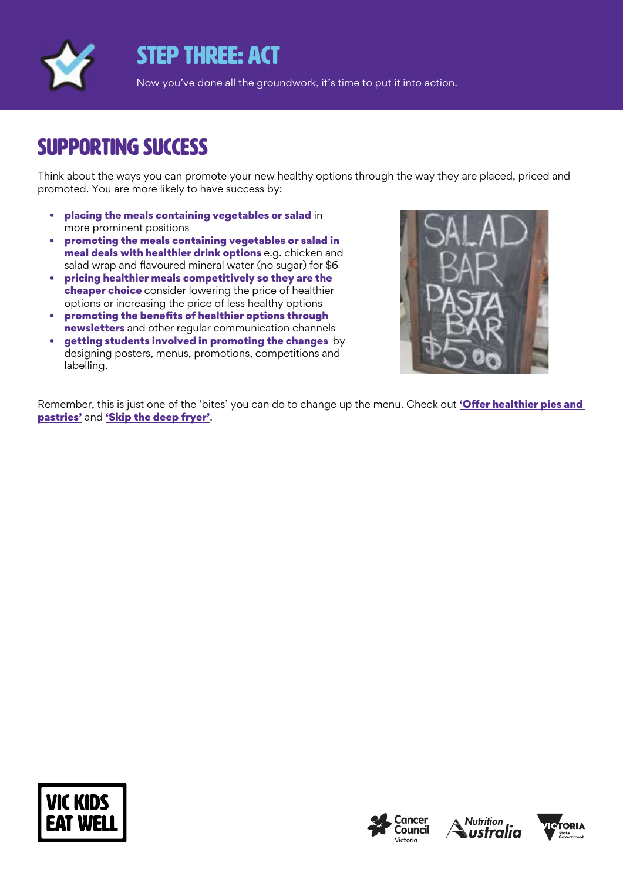

### STEP THREE: ACT

Now you've done all the groundwork, it's time to put it into action.

#### SUPPORTING SUCCESS

Think about the ways you can promote your new healthy options through the way they are placed, priced and promoted. You are more likely to have success by:

- placing the meals containing vegetables or salad in more prominent positions
- promoting the meals containing vegetables or salad in meal deals with healthier drink options e.g. chicken and salad wrap and flavoured mineral water (no sugar) for \$6
- pricing healthier meals competitively so they are the cheaper choice consider lowering the price of healthier options or increasing the price of less healthy options
- promoting the benefits of healthier options through newsletters and other regular communication channels
- getting students involved in promoting the changes by designing posters, menus, promotions, competitions and labelling.



Remember, this is just one of the 'bites' you can do to change up the menu. Check out 'Offer healthier pies and [pastries'](https://www.vickidseatwell.health.vic.gov.au/resources) and ['Skip the deep fryer'](https://www.vickidseatwell.health.vic.gov.au/resources).